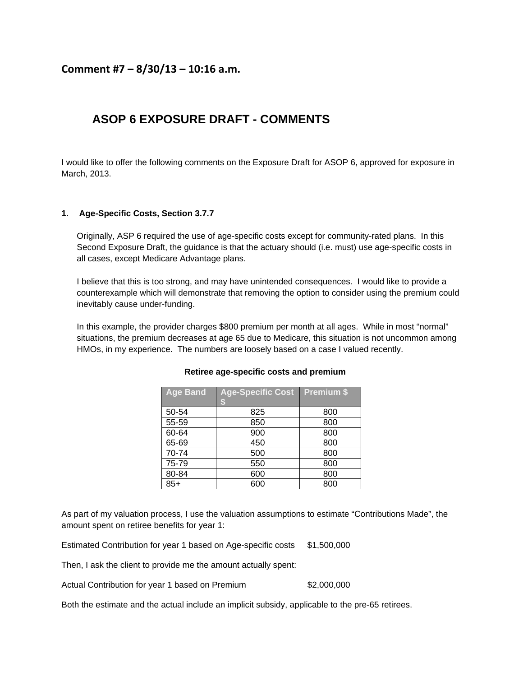## **Comment #7 – 8/30/13 – 10:16 a.m.**

# **ASOP 6 EXPOSURE DRAFT - COMMENTS**

I would like to offer the following comments on the Exposure Draft for ASOP 6, approved for exposure in March, 2013.

#### **1. Age-Specific Costs, Section 3.7.7**

Originally, ASP 6 required the use of age-specific costs except for community-rated plans. In this Second Exposure Draft, the guidance is that the actuary should (i.e. must) use age-specific costs in all cases, except Medicare Advantage plans.

I believe that this is too strong, and may have unintended consequences. I would like to provide a counterexample which will demonstrate that removing the option to consider using the premium could inevitably cause under-funding.

In this example, the provider charges \$800 premium per month at all ages. While in most "normal" situations, the premium decreases at age 65 due to Medicare, this situation is not uncommon among HMOs, in my experience. The numbers are loosely based on a case I valued recently.

| <b>Age Band</b> | <b>Age-Specific Cost</b><br>S | <b>Premium \$</b> |
|-----------------|-------------------------------|-------------------|
| 50-54           | 825                           | 800               |
| 55-59           | 850                           | 800               |
| 60-64           | 900                           | 800               |
| 65-69           | 450                           | 800               |
| 70-74           | 500                           | 800               |
| 75-79           | 550                           | 800               |
| 80-84           | 600                           | 800               |
| $85+$           | 600                           | 800               |

#### **Retiree age-specific costs and premium**

As part of my valuation process, I use the valuation assumptions to estimate "Contributions Made", the amount spent on retiree benefits for year 1:

Estimated Contribution for year 1 based on Age-specific costs \$1,500,000

Then, I ask the client to provide me the amount actually spent:

Actual Contribution for year 1 based on Premium \$2,000,000

Both the estimate and the actual include an implicit subsidy, applicable to the pre-65 retirees.